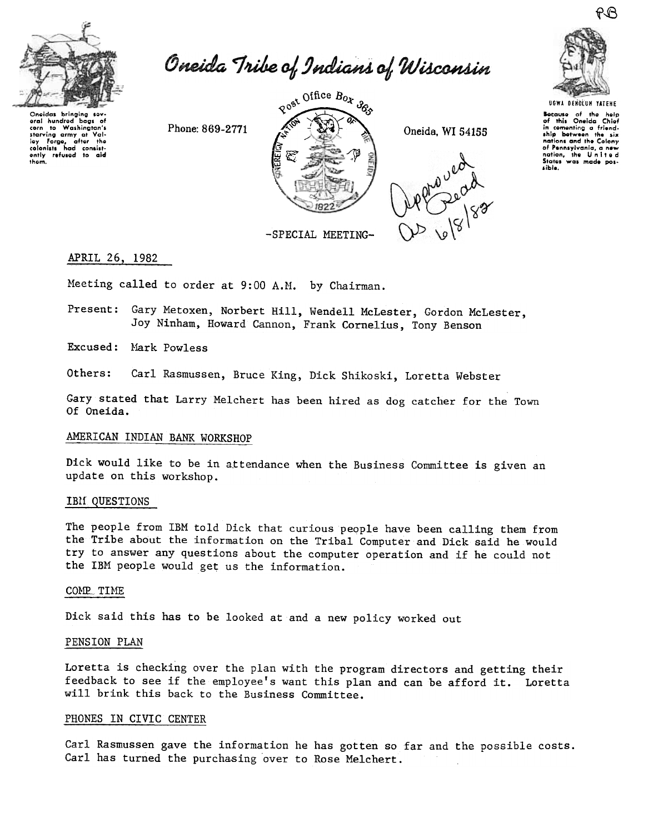

Oneida Tribe of Indians of Wisconsin

Oneidas bringing sovoral hundrod  $\sim$ Washington's  $10$ corn to Washington's<br>starving army at Valley<br>Forge, after the<br>colonists had consistently refused to aid<br>them. corn

Phone: 869-2771



Oneida, WI 54155





Because of the help<br>of this Oneida Chief in comenting a friend-<br>ship between the six nations and the Colony of Pennsylvania, a new<br>nation, the United<br>States was made possible.

-SPECIAL MEETING-

## APRIL 26, 1982

Meeting called to order at 9:00 A.M. by Chairman.

Present: Gary Metoxen, Norbert Hill, Wendell McLester, Gordon McLester, Joy Ninham, Howard Cannon, Frank Cornelius, Tony Benson

Excused: Mark Powless

Others: Carl Rasmussen, Bruce King, Dick Shikoski, Loretta Webster

Gary stated that Larry Melchert has been hired as dog catcher for the Town Of Oneida.

# AMERICAN INDIAN BANK WORKSHOP

Dick would like to be in attendance when the Business Committee is given an update on this workshop.

#### IBM QUESTIONS

The people from IBM told Dick that curious people have been calling them from the Tribe about the information on the Tribal Computer and Dick said he would try to answer any questions about the computer operation and if he could not the IBM people would get us the information.

#### COMP TIME

Dick said this has to be looked at and a new policy worked out

## PENSION PLAN

Loretta is checking over the plan with the program directors and getting their feedback to see if the employee's want this plan and can be afford it. Loretta will brink this back to the Business Committee.

#### PHONES IN CIVIC CENTER

Carl Rasmussen gave the information he has gotten so far and the possible costs. Carl has turned the purchasing over to Rose Melchert.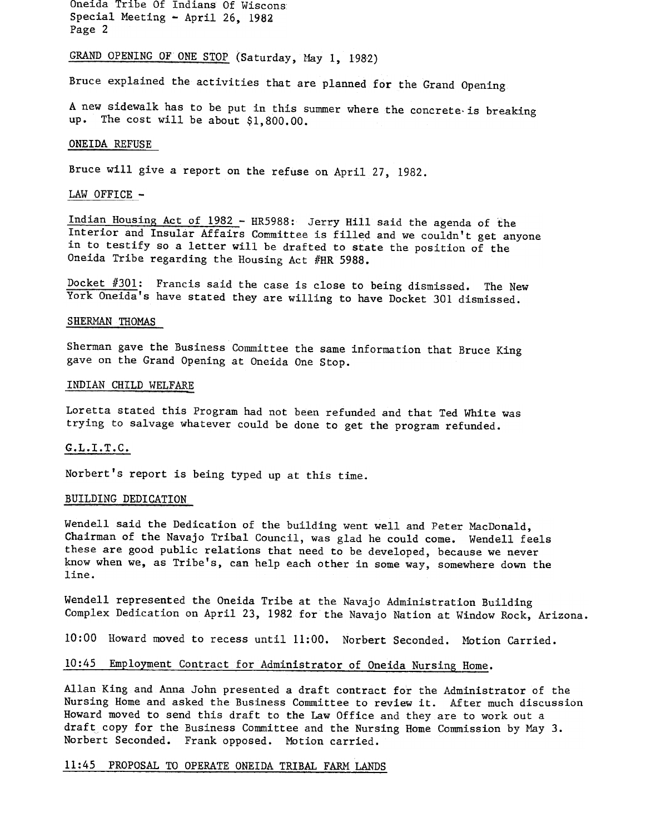Oneida Tribe Of Indians Of Wiscons Special Meeting - April 26, 1982 Page 2

# GRAND OPENING OF ONE STOP (Saturday, May 1, 1982)

Bruce explained the activities that are planned for the Grand Opening

A new sidewalk has to be put in this summer where the concrete-is breaking up. The cost will be about \$1,800.00.

#### ONEIDA REFUSE

Bruce will give a report on the refuse on April 27, 1982.

## LAW OFFICE -

Indian Housing Act of 1982 - HR5988: Jerry Hill said the agenda of the Interior and Insular Affairs Committee is filled and we couldn't get anyone in to testify so a letter will be drafted to state the position of the Oneida Tribe regarding the Housing Act #HR 5988.

Docket #301: Francis said the case is close to being dismissed. The New York Oneida's have stated they are willing to have Docket 301 dismissed.

## SHERMAN THOMAS

Sherman gave the Business Committee the same information that Bruce King gave on the Grand Opening at Oneida One Stop.

#### INDIAN CHILD WELFARE

Loretta stated this Program had not been refunded and that Ted White was trying to salvage whatever could be done to get the program refunded.

#### G.L.I.T.C.

Norbert's report is being typed up at this time.

#### BUILDING DEDICATION

Wendell said the Dedication of the building went well and Peter MacDonald, Chairman of the Navajo Tribal Council, was glad he could come. Wendell feels these are good public relations that need to be developed, because we never know when we, as Tribe's, can help each other in some way, somewhere down the line.

Wendell represented the Oneida Tribe at the Navajo Administration Building Complex Dedication on April 23, 1982 for the Navajo Nation at Window Rock, Arizona.

10:00 Howard moved to recess until 11:00. Norbert Seconded. Motion Carried.

## 10:45 Employment Contract for Administrator of Oneida Nursing Home.

Allan King and Anna John presented a draft contract for the Administrator of the Nursing Home and asked the Business Committee to review it. After much discussion Howard moved to send this draft to the Law Office and they are to work out a draft copy for the Business Committee and the Nursing Home Commission by May 3. Norbert Seconded. Frank opposed. Motion carried.

## 11:45 PROPOSAL TO OPERATE ONEIDA TRIBAL FARM LANDS